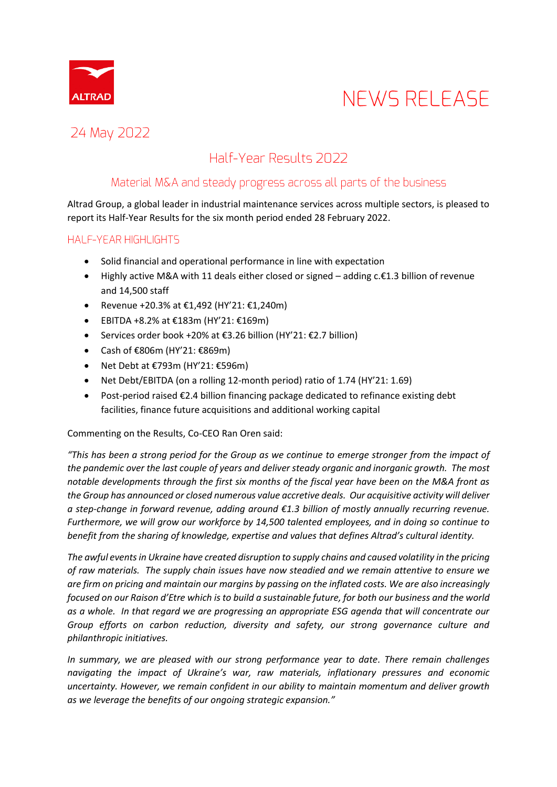

### 24 May 2022

### Half-Year Results 2022

### Material M&A and steady progress across all parts of the business

Altrad Group, a global leader in industrial maintenance services across multiple sectors, is pleased to report its Half-Year Results for the six month period ended 28 February 2022.

### HALF-YEAR HIGHLIGHTS

- Solid financial and operational performance in line with expectation
- Highly active M&A with 11 deals either closed or signed adding c.€1.3 billion of revenue and 14,500 staff
- Revenue +20.3% at €1,492 (HY'21: €1,240m)
- EBITDA +8.2% at €183m (HY'21: €169m)
- Services order book +20% at €3.26 billion (HY'21: €2.7 billion)
- Cash of €806m (HY'21: €869m)
- Net Debt at €793m (HY'21: €596m)
- Net Debt/EBITDA (on a rolling 12-month period) ratio of 1.74 (HY'21: 1.69)
- Post-period raised €2.4 billion financing package dedicated to refinance existing debt facilities, finance future acquisitions and additional working capital

#### Commenting on the Results, Co-CEO Ran Oren said:

*"This has been a strong period for the Group as we continue to emerge stronger from the impact of the pandemic over the last couple of years and deliver steady organic and inorganic growth. The most notable developments through the first six months of the fiscal year have been on the M&A front as the Group has announced or closed numerous value accretive deals. Our acquisitive activity will deliver a step-change in forward revenue, adding around €1.3 billion of mostly annually recurring revenue. Furthermore, we will grow our workforce by 14,500 talented employees, and in doing so continue to benefit from the sharing of knowledge, expertise and values that defines Altrad's cultural identity.* 

*The awful events in Ukraine have created disruption to supply chains and caused volatility in the pricing of raw materials. The supply chain issues have now steadied and we remain attentive to ensure we are firm on pricing and maintain our margins by passing on the inflated costs. We are also increasingly focused on our Raison d'Etre which is to build a sustainable future, for both our business and the world as a whole. In that regard we are progressing an appropriate ESG agenda that will concentrate our Group efforts on carbon reduction, diversity and safety, our strong governance culture and philanthropic initiatives.*

*In summary, we are pleased with our strong performance year to date. There remain challenges navigating the impact of Ukraine's war, raw materials, inflationary pressures and economic uncertainty. However, we remain confident in our ability to maintain momentum and deliver growth as we leverage the benefits of our ongoing strategic expansion."*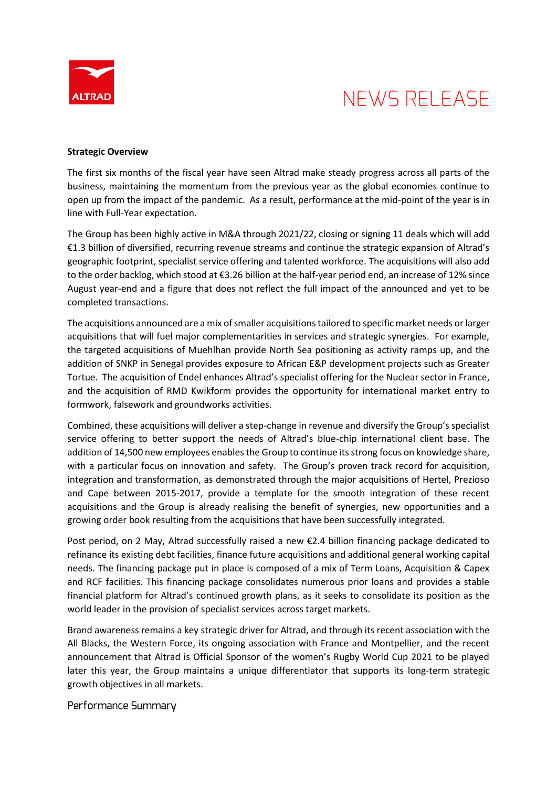

#### **Strategic Overview**

The first six months of the fiscal year have seen Altrad make steady progress across all parts of the business, maintaining the momentum from the previous year as the global economies continue to open up from the impact of the pandemic. As a result, performance at the mid-point of the year is in line with Full-Year expectation.

The Group has been highly active in M&A through 2021/22, closing or signing 11 deals which will add €1.3 billion of diversified, recurring revenue streams and continue the strategic expansion of Altrad's geographic footprint, specialist service offering and talented workforce. The acquisitions will also add to the order backlog, which stood at €3.26 billion at the half-year period end, an increase of 12% since August year-end and a figure that does not reflect the full impact of the announced and yet to be completed transactions.

The acquisitions announced are a mix of smaller acquisitions tailored to specific market needs or larger acquisitions that will fuel major complementarities in services and strategic synergies. For example, the targeted acquisitions of Muehlhan provide North Sea positioning as activity ramps up, and the addition of SNKP in Senegal provides exposure to African E&P development projects such as Greater Tortue. The acquisition of Endel enhances Altrad's specialist offering for the Nuclear sector in France, and the acquisition of RMD Kwikform provides the opportunity for international market entry to formwork, falsework and groundworks activities.

Combined, these acquisitions will deliver a step-change in revenue and diversify the Group's specialist service offering to better support the needs of Altrad's blue-chip international client base. The addition of 14,500 new employees enables the Group to continue its strong focus on knowledge share, with a particular focus on innovation and safety. The Group's proven track record for acquisition, integration and transformation, as demonstrated through the major acquisitions of Hertel, Prezioso and Cape between 2015-2017, provide a template for the smooth integration of these recent acquisitions and the Group is already realising the benefit of synergies, new opportunities and a growing order book resulting from the acquisitions that have been successfully integrated.

Post period, on 2 May, Altrad successfully raised a new €2.4 billion financing package dedicated to refinance its existing debt facilities, finance future acquisitions and additional general working capital needs. The financing package put in place is composed of a mix of Term Loans, Acquisition & Capex and RCF facilities. This financing package consolidates numerous prior loans and provides a stable financial platform for Altrad's continued growth plans, as it seeks to consolidate its position as the world leader in the provision of specialist services across target markets.

Brand awareness remains a key strategic driver for Altrad, and through its recent association with the All Blacks, the Western Force, its ongoing association with France and Montpellier, and the recent announcement that Altrad is Official Sponsor of the women's Rugby World Cup 2021 to be played later this year, the Group maintains a unique differentiator that supports its long-term strategic growth objectives in all markets.

Performance Summary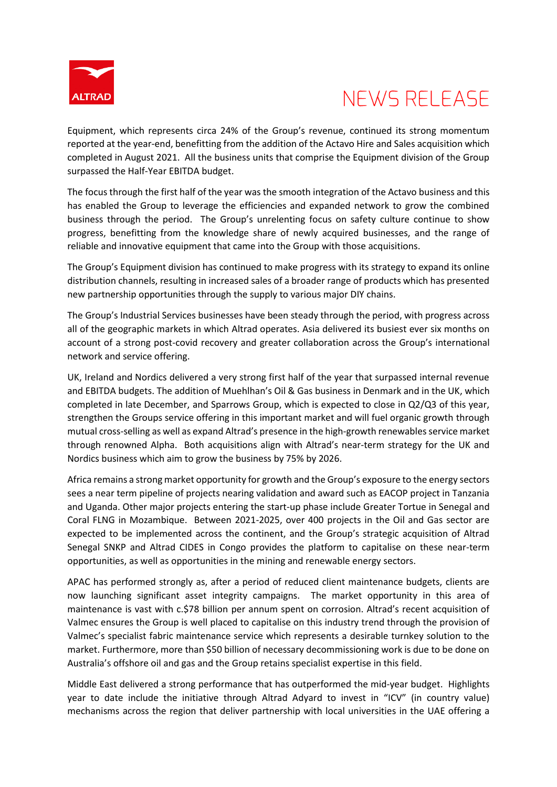

Equipment, which represents circa 24% of the Group's revenue, continued its strong momentum reported at the year-end, benefitting from the addition of the Actavo Hire and Sales acquisition which completed in August 2021. All the business units that comprise the Equipment division of the Group surpassed the Half-Year EBITDA budget.

The focus through the first half of the year was the smooth integration of the Actavo business and this has enabled the Group to leverage the efficiencies and expanded network to grow the combined business through the period. The Group's unrelenting focus on safety culture continue to show progress, benefitting from the knowledge share of newly acquired businesses, and the range of reliable and innovative equipment that came into the Group with those acquisitions.

The Group's Equipment division has continued to make progress with its strategy to expand its online distribution channels, resulting in increased sales of a broader range of products which has presented new partnership opportunities through the supply to various major DIY chains.

The Group's Industrial Services businesses have been steady through the period, with progress across all of the geographic markets in which Altrad operates. Asia delivered its busiest ever six months on account of a strong post-covid recovery and greater collaboration across the Group's international network and service offering.

UK, Ireland and Nordics delivered a very strong first half of the year that surpassed internal revenue and EBITDA budgets. The addition of Muehlhan's Oil & Gas business in Denmark and in the UK, which completed in late December, and Sparrows Group, which is expected to close in Q2/Q3 of this year, strengthen the Groups service offering in this important market and will fuel organic growth through mutual cross-selling as well as expand Altrad's presence in the high-growth renewables service market through renowned Alpha. Both acquisitions align with Altrad's near-term strategy for the UK and Nordics business which aim to grow the business by 75% by 2026.

Africa remains a strong market opportunity for growth and the Group's exposure to the energy sectors sees a near term pipeline of projects nearing validation and award such as EACOP project in Tanzania and Uganda. Other major projects entering the start-up phase include Greater Tortue in Senegal and Coral FLNG in Mozambique. Between 2021-2025, over 400 projects in the Oil and Gas sector are expected to be implemented across the continent, and the Group's strategic acquisition of Altrad Senegal SNKP and Altrad CIDES in Congo provides the platform to capitalise on these near-term opportunities, as well as opportunities in the mining and renewable energy sectors.

APAC has performed strongly as, after a period of reduced client maintenance budgets, clients are now launching significant asset integrity campaigns. The market opportunity in this area of maintenance is vast with c.\$78 billion per annum spent on corrosion. Altrad's recent acquisition of Valmec ensures the Group is well placed to capitalise on this industry trend through the provision of Valmec's specialist fabric maintenance service which represents a desirable turnkey solution to the market. Furthermore, more than \$50 billion of necessary decommissioning work is due to be done on Australia's offshore oil and gas and the Group retains specialist expertise in this field.

Middle East delivered a strong performance that has outperformed the mid-year budget. Highlights year to date include the initiative through Altrad Adyard to invest in "ICV" (in country value) mechanisms across the region that deliver partnership with local universities in the UAE offering a